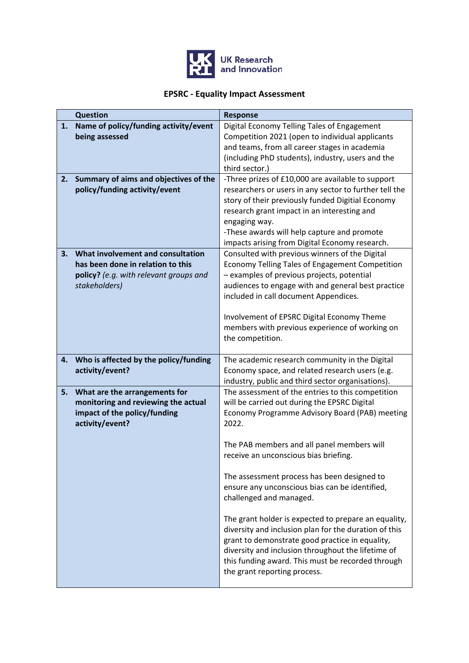

## **EPSRC - Equality Impact Assessment**

|    | <b>Question</b>                                                                                                                   | <b>Response</b>                                                                                                                                                                                                                                                                                                                                                                                                                                                                                                                                                                                                                                                                                |
|----|-----------------------------------------------------------------------------------------------------------------------------------|------------------------------------------------------------------------------------------------------------------------------------------------------------------------------------------------------------------------------------------------------------------------------------------------------------------------------------------------------------------------------------------------------------------------------------------------------------------------------------------------------------------------------------------------------------------------------------------------------------------------------------------------------------------------------------------------|
| 1. | Name of policy/funding activity/event<br>being assessed                                                                           | Digital Economy Telling Tales of Engagement<br>Competition 2021 (open to individual applicants<br>and teams, from all career stages in academia<br>(including PhD students), industry, users and the<br>third sector.)                                                                                                                                                                                                                                                                                                                                                                                                                                                                         |
| 2. | Summary of aims and objectives of the<br>policy/funding activity/event                                                            | -Three prizes of £10,000 are available to support<br>researchers or users in any sector to further tell the<br>story of their previously funded Digitial Economy<br>research grant impact in an interesting and<br>engaging way.<br>-These awards will help capture and promote<br>impacts arising from Digital Economy research.                                                                                                                                                                                                                                                                                                                                                              |
| 3. | What involvement and consultation<br>has been done in relation to this<br>policy? (e.g. with relevant groups and<br>stakeholders) | Consulted with previous winners of the Digital<br>Economy Telling Tales of Engagement Competition<br>- examples of previous projects, potential<br>audiences to engage with and general best practice<br>included in call document Appendices.<br>Involvement of EPSRC Digital Economy Theme<br>members with previous experience of working on<br>the competition.                                                                                                                                                                                                                                                                                                                             |
| 4. | Who is affected by the policy/funding<br>activity/event?                                                                          | The academic research community in the Digital<br>Economy space, and related research users (e.g.<br>industry, public and third sector organisations).                                                                                                                                                                                                                                                                                                                                                                                                                                                                                                                                         |
| 5. | What are the arrangements for<br>monitoring and reviewing the actual<br>impact of the policy/funding<br>activity/event?           | The assessment of the entries to this competition<br>will be carried out during the EPSRC Digital<br>Economy Programme Advisory Board (PAB) meeting<br>2022.<br>The PAB members and all panel members will<br>receive an unconscious bias briefing.<br>The assessment process has been designed to<br>ensure any unconscious bias can be identified,<br>challenged and managed.<br>The grant holder is expected to prepare an equality,<br>diversity and inclusion plan for the duration of this<br>grant to demonstrate good practice in equality,<br>diversity and inclusion throughout the lifetime of<br>this funding award. This must be recorded through<br>the grant reporting process. |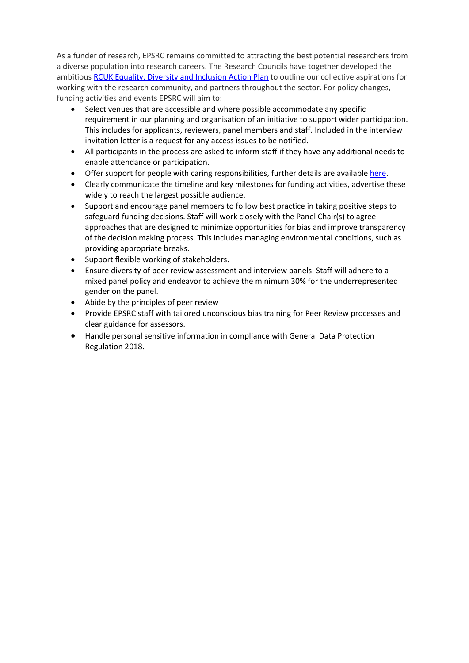As a funder of research, EPSRC remains committed to attracting the best potential researchers from a diverse population into research careers. The Research Councils have together developed the ambitious [RCUK Equality, Diversity and Inclusion Action Plan](https://www.ukri.org/files/legacy/documents/actionplan2016-pdf/) to outline our collective aspirations for working with the research community, and partners throughout the sector. For policy changes, funding activities and events EPSRC will aim to:

- Select venues that are accessible and where possible accommodate any specific requirement in our planning and organisation of an initiative to support wider participation. This includes for applicants, reviewers, panel members and staff. Included in the interview invitation letter is a request for any access issues to be notified.
- All participants in the process are asked to inform staff if they have any additional needs to enable attendance or participation.
- Offer support for people with caring responsibilities, further details are available [here.](https://epsrc.ukri.org/funding/applicationprocess/basics/caringresponsibilities/)
- Clearly communicate the timeline and key milestones for funding activities, advertise these widely to reach the largest possible audience.
- Support and encourage panel members to follow best practice in taking positive steps to safeguard funding decisions. Staff will work closely with the Panel Chair(s) to agree approaches that are designed to minimize opportunities for bias and improve transparency of the decision making process. This includes managing environmental conditions, such as providing appropriate breaks.
- Support flexible working of stakeholders.
- Ensure diversity of peer review assessment and interview panels. Staff will adhere to a mixed panel policy and endeavor to achieve the minimum 30% for the underrepresented gender on the panel.
- Abide by the principles of peer review
- Provide EPSRC staff with tailored unconscious bias training for Peer Review processes and clear guidance for assessors.
- Handle personal sensitive information in compliance with General Data Protection Regulation 2018.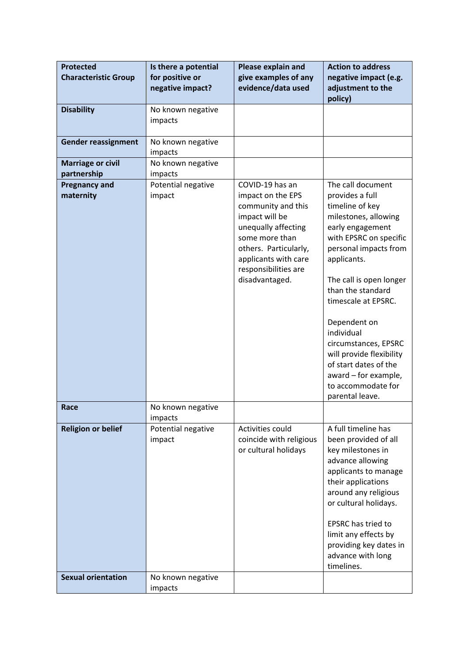| <b>Protected</b>                        | Is there a potential          | Please explain and                   | <b>Action to address</b>                          |
|-----------------------------------------|-------------------------------|--------------------------------------|---------------------------------------------------|
| <b>Characteristic Group</b>             | for positive or               | give examples of any                 | negative impact (e.g.                             |
|                                         | negative impact?              | evidence/data used                   | adjustment to the<br>policy)                      |
| <b>Disability</b>                       | No known negative             |                                      |                                                   |
|                                         | impacts                       |                                      |                                                   |
| <b>Gender reassignment</b>              | No known negative             |                                      |                                                   |
|                                         | impacts                       |                                      |                                                   |
| <b>Marriage or civil</b><br>partnership | No known negative<br>impacts  |                                      |                                                   |
| <b>Pregnancy and</b>                    | Potential negative            | COVID-19 has an                      | The call document                                 |
| maternity                               | impact                        | impact on the EPS                    | provides a full                                   |
|                                         |                               | community and this<br>impact will be | timeline of key<br>milestones, allowing           |
|                                         |                               | unequally affecting                  | early engagement                                  |
|                                         |                               | some more than                       | with EPSRC on specific                            |
|                                         |                               | others. Particularly,                | personal impacts from                             |
|                                         |                               | applicants with care                 | applicants.                                       |
|                                         |                               | responsibilities are                 |                                                   |
|                                         |                               | disadvantaged.                       | The call is open longer<br>than the standard      |
|                                         |                               |                                      | timescale at EPSRC.                               |
|                                         |                               |                                      |                                                   |
|                                         |                               |                                      | Dependent on                                      |
|                                         |                               |                                      | individual                                        |
|                                         |                               |                                      | circumstances, EPSRC                              |
|                                         |                               |                                      | will provide flexibility<br>of start dates of the |
|                                         |                               |                                      | award - for example,                              |
|                                         |                               |                                      | to accommodate for                                |
|                                         |                               |                                      | parental leave.                                   |
| Race                                    | No known negative             |                                      |                                                   |
| <b>Religion or belief</b>               | impacts<br>Potential negative | Activities could                     | A full timeline has                               |
|                                         | impact                        | coincide with religious              | been provided of all                              |
|                                         |                               | or cultural holidays                 | key milestones in                                 |
|                                         |                               |                                      | advance allowing                                  |
|                                         |                               |                                      | applicants to manage                              |
|                                         |                               |                                      | their applications                                |
|                                         |                               |                                      | around any religious<br>or cultural holidays.     |
|                                         |                               |                                      |                                                   |
|                                         |                               |                                      | <b>EPSRC</b> has tried to                         |
|                                         |                               |                                      | limit any effects by                              |
|                                         |                               |                                      | providing key dates in                            |
|                                         |                               |                                      | advance with long                                 |
| <b>Sexual orientation</b>               | No known negative             |                                      | timelines.                                        |
|                                         | impacts                       |                                      |                                                   |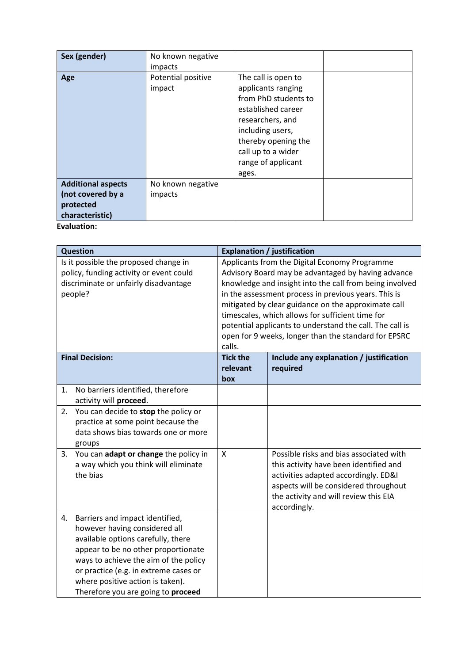| Sex (gender)              | No known negative  |                      |  |
|---------------------------|--------------------|----------------------|--|
|                           | impacts            |                      |  |
| Age                       | Potential positive | The call is open to  |  |
|                           | impact             | applicants ranging   |  |
|                           |                    | from PhD students to |  |
|                           |                    | established career   |  |
|                           |                    | researchers, and     |  |
|                           |                    | including users,     |  |
|                           |                    | thereby opening the  |  |
|                           |                    | call up to a wider   |  |
|                           |                    | range of applicant   |  |
|                           |                    | ages.                |  |
| <b>Additional aspects</b> | No known negative  |                      |  |
| (not covered by a         | impacts            |                      |  |
| protected                 |                    |                      |  |
| characteristic)           |                    |                      |  |
| Evaluation:               |                    |                      |  |

| <b>Question</b>                                                                                                                      |                                                                                                                                                                                                                                                                                                           | <b>Explanation / justification</b>                                                                                                                                                                                                                                                                                                                                                                                                                              |                                                                                                                                                                                                                             |
|--------------------------------------------------------------------------------------------------------------------------------------|-----------------------------------------------------------------------------------------------------------------------------------------------------------------------------------------------------------------------------------------------------------------------------------------------------------|-----------------------------------------------------------------------------------------------------------------------------------------------------------------------------------------------------------------------------------------------------------------------------------------------------------------------------------------------------------------------------------------------------------------------------------------------------------------|-----------------------------------------------------------------------------------------------------------------------------------------------------------------------------------------------------------------------------|
| Is it possible the proposed change in<br>policy, funding activity or event could<br>discriminate or unfairly disadvantage<br>people? |                                                                                                                                                                                                                                                                                                           | Applicants from the Digital Economy Programme<br>Advisory Board may be advantaged by having advance<br>knowledge and insight into the call from being involved<br>in the assessment process in previous years. This is<br>mitigated by clear guidance on the approximate call<br>timescales, which allows for sufficient time for<br>potential applicants to understand the call. The call is<br>open for 9 weeks, longer than the standard for EPSRC<br>calls. |                                                                                                                                                                                                                             |
|                                                                                                                                      | <b>Final Decision:</b>                                                                                                                                                                                                                                                                                    | <b>Tick the</b><br>relevant                                                                                                                                                                                                                                                                                                                                                                                                                                     | Include any explanation / justification<br>required                                                                                                                                                                         |
|                                                                                                                                      |                                                                                                                                                                                                                                                                                                           | box                                                                                                                                                                                                                                                                                                                                                                                                                                                             |                                                                                                                                                                                                                             |
| 1.                                                                                                                                   | No barriers identified, therefore<br>activity will proceed.                                                                                                                                                                                                                                               |                                                                                                                                                                                                                                                                                                                                                                                                                                                                 |                                                                                                                                                                                                                             |
| 2.                                                                                                                                   | You can decide to stop the policy or<br>practice at some point because the<br>data shows bias towards one or more<br>groups                                                                                                                                                                               |                                                                                                                                                                                                                                                                                                                                                                                                                                                                 |                                                                                                                                                                                                                             |
| 3.                                                                                                                                   | You can adapt or change the policy in<br>a way which you think will eliminate<br>the bias                                                                                                                                                                                                                 | $\mathsf{x}$                                                                                                                                                                                                                                                                                                                                                                                                                                                    | Possible risks and bias associated with<br>this activity have been identified and<br>activities adapted accordingly. ED&I<br>aspects will be considered throughout<br>the activity and will review this EIA<br>accordingly. |
| 4.                                                                                                                                   | Barriers and impact identified,<br>however having considered all<br>available options carefully, there<br>appear to be no other proportionate<br>ways to achieve the aim of the policy<br>or practice (e.g. in extreme cases or<br>where positive action is taken).<br>Therefore you are going to proceed |                                                                                                                                                                                                                                                                                                                                                                                                                                                                 |                                                                                                                                                                                                                             |